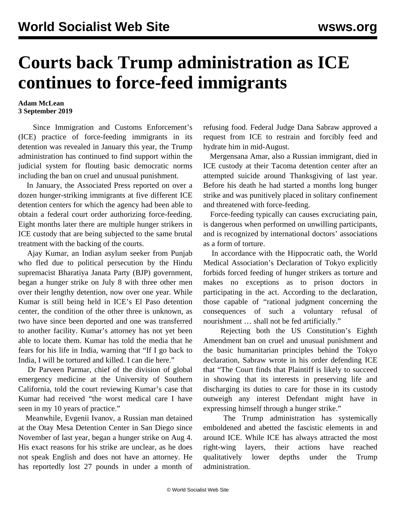## **Courts back Trump administration as ICE continues to force-feed immigrants**

## **Adam McLean 3 September 2019**

 Since Immigration and Customs Enforcement's (ICE) practice of force-feeding immigrants in its detention was revealed in January this year, the Trump administration has continued to find support within the judicial system for flouting basic democratic norms including the ban on cruel and unusual punishment.

 In January, the Associated Press reported on over a dozen hunger-striking immigrants at five different ICE detention centers for which the agency had been able to obtain a federal court order authorizing force-feeding. Eight months later there are multiple hunger strikers in ICE custody that are being subjected to the same brutal treatment with the backing of the courts.

 Ajay Kumar, an Indian asylum seeker from Punjab who fled due to political persecution by the Hindu supremacist Bharatiya Janata Party (BJP) government, began a hunger strike on July 8 with three other men over their lengthy detention, now over one year. While Kumar is still being held in ICE's El Paso detention center, the condition of the other three is unknown, as two have since been deported and one was transferred to another facility. Kumar's attorney has not yet been able to locate them. Kumar has told the media that he fears for his life in India, warning that "If I go back to India, I will be tortured and killed. I can die here."

 Dr Parveen Parmar, chief of the division of global emergency medicine at the University of Southern California, told the court reviewing Kumar's case that Kumar had received "the worst medical care I have seen in my 10 years of practice."

 Meanwhile, Evgenii Ivanov, a Russian man detained at the Otay Mesa Detention Center in San Diego since November of last year, began a hunger strike on Aug 4. His exact reasons for his strike are unclear, as he does not speak English and does not have an attorney. He has reportedly lost 27 pounds in under a month of refusing food. Federal Judge Dana Sabraw approved a request from ICE to restrain and forcibly feed and hydrate him in mid-August.

 Mergensana Amar, also a Russian immigrant, died in ICE custody at their Tacoma detention center after an attempted suicide around Thanksgiving of last year. Before his death he had started a months long hunger strike and was punitively placed in solitary confinement and threatened with force-feeding.

 Force-feeding typically can causes excruciating pain, is dangerous when performed on unwilling participants, and is recognized by international doctors' associations as a form of torture.

 In accordance with the Hippocratic oath, the World Medical Association's Declaration of Tokyo explicitly forbids forced feeding of hunger strikers as torture and makes no exceptions as to prison doctors in participating in the act. According to the declaration, those capable of "rational judgment concerning the consequences of such a voluntary refusal of nourishment … shall not be fed artificially."

 Rejecting both the US Constitution's Eighth Amendment ban on cruel and unusual punishment and the basic humanitarian principles behind the Tokyo declaration, Sabraw wrote in his order defending ICE that "The Court finds that Plaintiff is likely to succeed in showing that its interests in preserving life and discharging its duties to care for those in its custody outweigh any interest Defendant might have in expressing himself through a hunger strike."

 The Trump administration has systemically emboldened and abetted the fascistic elements in and around ICE. While ICE has always attracted the most right-wing layers, their actions have reached qualitatively lower depths under the Trump administration.